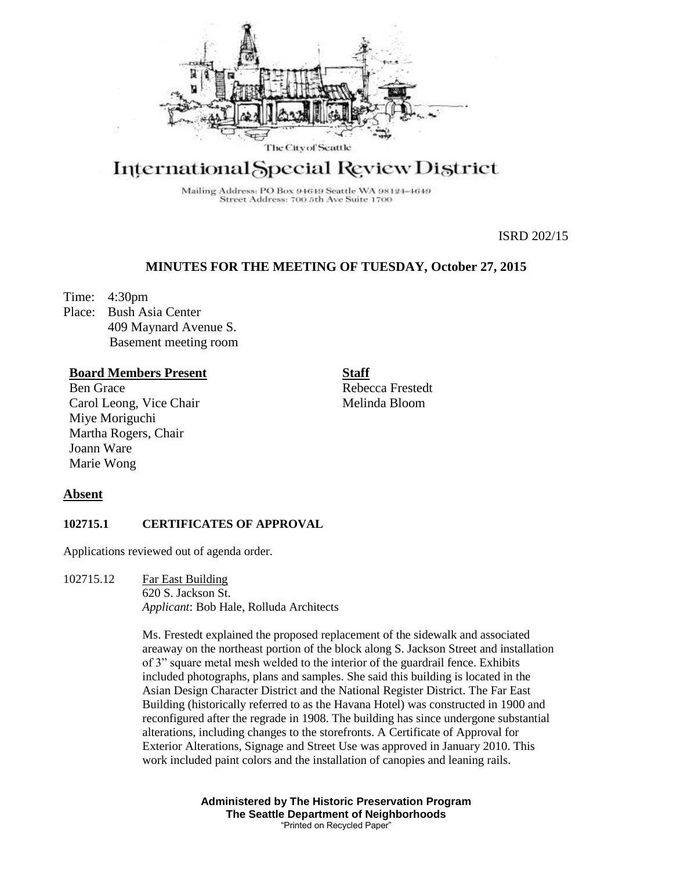

# International Special Review District

Mailing Address: PO Box 94649 Seattle WA 98124-4649 Street Address: 700 5th Ave Suite 1700

ISRD 202/15

# **MINUTES FOR THE MEETING OF TUESDAY, October 27, 2015**

Time: 4:30pm

Place: Bush Asia Center 409 Maynard Avenue S. Basement meeting room

## **Board Members Present**

Ben Grace Carol Leong, Vice Chair Miye Moriguchi Martha Rogers, Chair Joann Ware Marie Wong

**Staff**

Rebecca Frestedt Melinda Bloom

## **Absent**

## **102715.1 CERTIFICATES OF APPROVAL**

Applications reviewed out of agenda order.

102715.12 Far East Building 620 S. Jackson St. *Applicant*: Bob Hale, Rolluda Architects

> Ms. Frestedt explained the proposed replacement of the sidewalk and associated areaway on the northeast portion of the block along S. Jackson Street and installation of 3" square metal mesh welded to the interior of the guardrail fence. Exhibits included photographs, plans and samples. She said this building is located in the Asian Design Character District and the National Register District. The Far East Building (historically referred to as the Havana Hotel) was constructed in 1900 and reconfigured after the regrade in 1908. The building has since undergone substantial alterations, including changes to the storefronts. A Certificate of Approval for Exterior Alterations, Signage and Street Use was approved in January 2010. This work included paint colors and the installation of canopies and leaning rails.

> > **Administered by The Historic Preservation Program The Seattle Department of Neighborhoods** "Printed on Recycled Paper"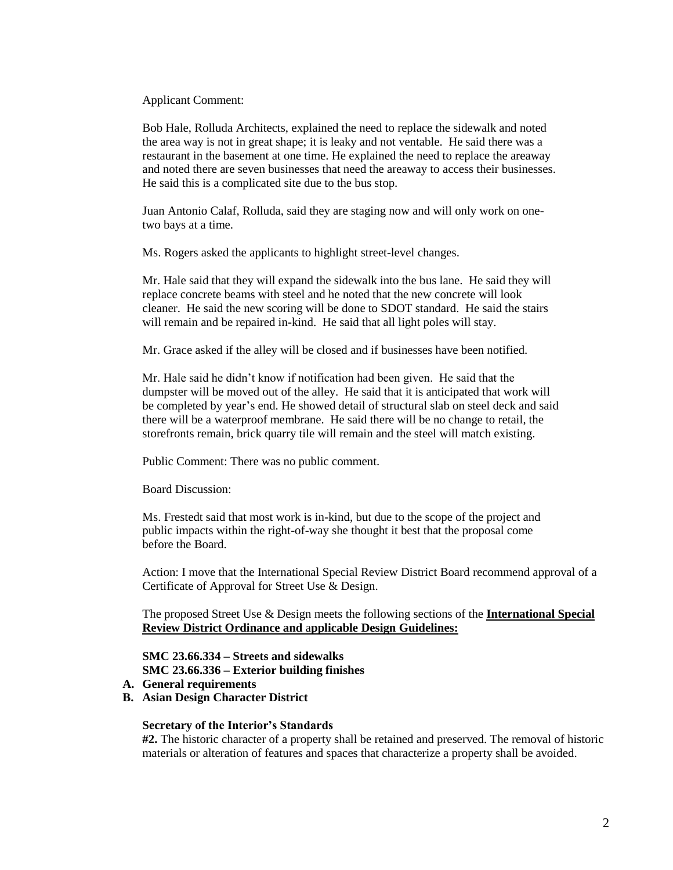Applicant Comment:

Bob Hale, Rolluda Architects, explained the need to replace the sidewalk and noted the area way is not in great shape; it is leaky and not ventable. He said there was a restaurant in the basement at one time. He explained the need to replace the areaway and noted there are seven businesses that need the areaway to access their businesses. He said this is a complicated site due to the bus stop.

Juan Antonio Calaf, Rolluda, said they are staging now and will only work on onetwo bays at a time.

Ms. Rogers asked the applicants to highlight street-level changes.

Mr. Hale said that they will expand the sidewalk into the bus lane. He said they will replace concrete beams with steel and he noted that the new concrete will look cleaner. He said the new scoring will be done to SDOT standard. He said the stairs will remain and be repaired in-kind. He said that all light poles will stay.

Mr. Grace asked if the alley will be closed and if businesses have been notified.

Mr. Hale said he didn't know if notification had been given. He said that the dumpster will be moved out of the alley. He said that it is anticipated that work will be completed by year's end. He showed detail of structural slab on steel deck and said there will be a waterproof membrane. He said there will be no change to retail, the storefronts remain, brick quarry tile will remain and the steel will match existing.

Public Comment: There was no public comment.

Board Discussion:

Ms. Frestedt said that most work is in-kind, but due to the scope of the project and public impacts within the right-of-way she thought it best that the proposal come before the Board.

Action: I move that the International Special Review District Board recommend approval of a Certificate of Approval for Street Use & Design.

The proposed Street Use & Design meets the following sections of the **International Special Review District Ordinance and** a**pplicable Design Guidelines:**

**SMC 23.66.334 – Streets and sidewalks SMC 23.66.336 – Exterior building finishes**

- **A. General requirements**
- **B. Asian Design Character District**

#### **Secretary of the Interior's Standards**

**#2.** The historic character of a property shall be retained and preserved. The removal of historic materials or alteration of features and spaces that characterize a property shall be avoided.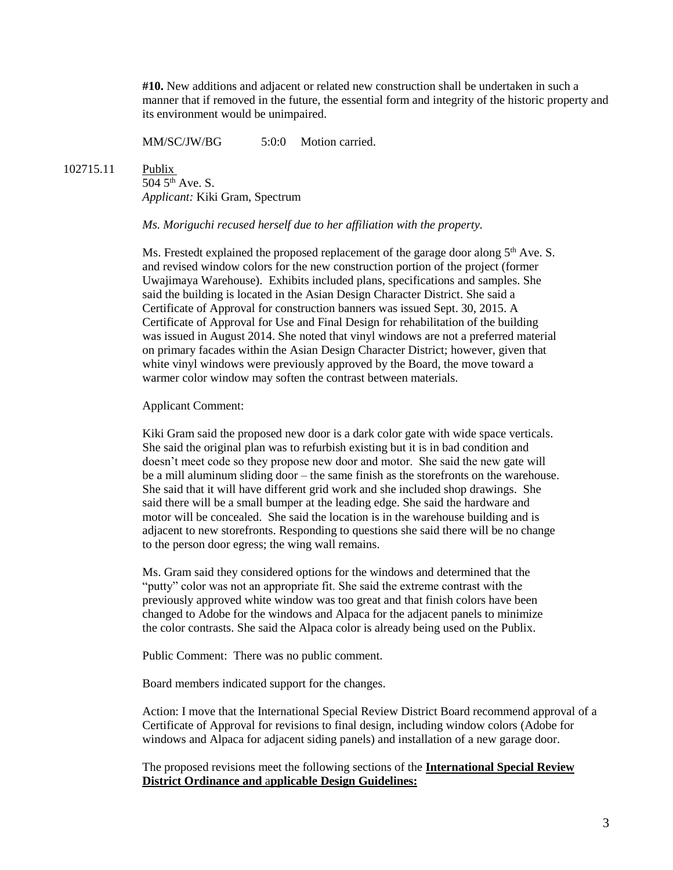**#10.** New additions and adjacent or related new construction shall be undertaken in such a manner that if removed in the future, the essential form and integrity of the historic property and its environment would be unimpaired.

MM/SC/JW/BG 5:0:0 Motion carried.

102715.11 Publix

504 5th Ave. S. *Applicant:* Kiki Gram, Spectrum

### *Ms. Moriguchi recused herself due to her affiliation with the property.*

Ms. Frestedt explained the proposed replacement of the garage door along  $5<sup>th</sup>$  Ave. S. and revised window colors for the new construction portion of the project (former Uwajimaya Warehouse). Exhibits included plans, specifications and samples. She said the building is located in the Asian Design Character District. She said a Certificate of Approval for construction banners was issued Sept. 30, 2015. A Certificate of Approval for Use and Final Design for rehabilitation of the building was issued in August 2014. She noted that vinyl windows are not a preferred material on primary facades within the Asian Design Character District; however, given that white vinyl windows were previously approved by the Board, the move toward a warmer color window may soften the contrast between materials.

Applicant Comment:

Kiki Gram said the proposed new door is a dark color gate with wide space verticals. She said the original plan was to refurbish existing but it is in bad condition and doesn't meet code so they propose new door and motor. She said the new gate will be a mill aluminum sliding door – the same finish as the storefronts on the warehouse. She said that it will have different grid work and she included shop drawings. She said there will be a small bumper at the leading edge. She said the hardware and motor will be concealed. She said the location is in the warehouse building and is adjacent to new storefronts. Responding to questions she said there will be no change to the person door egress; the wing wall remains.

Ms. Gram said they considered options for the windows and determined that the "putty" color was not an appropriate fit. She said the extreme contrast with the previously approved white window was too great and that finish colors have been changed to Adobe for the windows and Alpaca for the adjacent panels to minimize the color contrasts. She said the Alpaca color is already being used on the Publix.

Public Comment: There was no public comment.

Board members indicated support for the changes.

Action: I move that the International Special Review District Board recommend approval of a Certificate of Approval for revisions to final design, including window colors (Adobe for windows and Alpaca for adjacent siding panels) and installation of a new garage door.

The proposed revisions meet the following sections of the **International Special Review District Ordinance and** a**pplicable Design Guidelines:**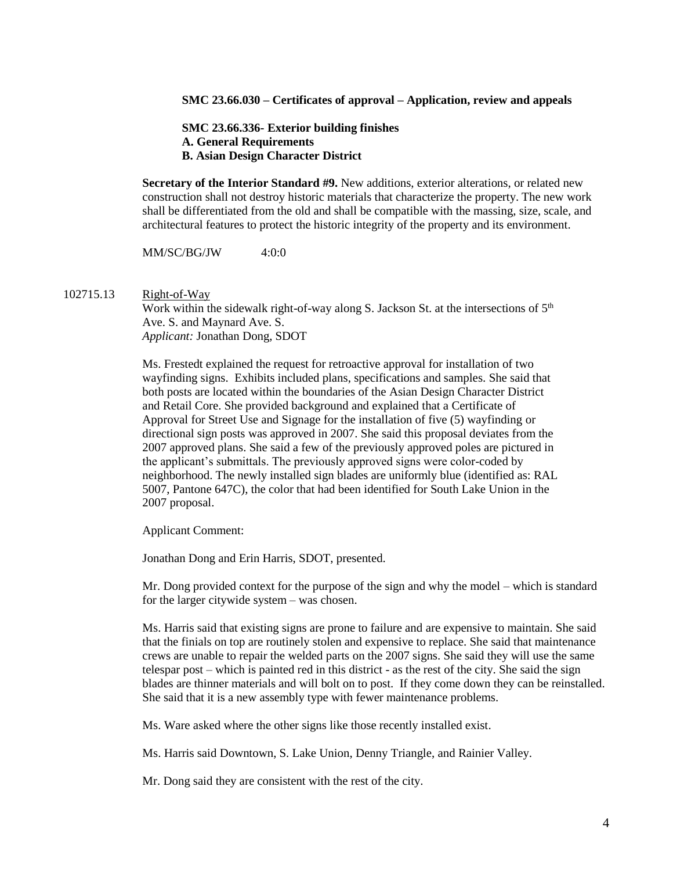#### **SMC 23.66.030 – Certificates of approval – Application, review and appeals**

**SMC 23.66.336- Exterior building finishes A. General Requirements B. Asian Design Character District**

**Secretary of the Interior Standard #9.** New additions, exterior alterations, or related new construction shall not destroy historic materials that characterize the property. The new work shall be differentiated from the old and shall be compatible with the massing, size, scale, and architectural features to protect the historic integrity of the property and its environment.

MM/SC/BG/JW 4:0:0

#### 102715.13 Right-of-Way

Work within the sidewalk right-of-way along S. Jackson St. at the intersections of  $5<sup>th</sup>$ Ave. S. and Maynard Ave. S. *Applicant:* Jonathan Dong, SDOT

Ms. Frestedt explained the request for retroactive approval for installation of two wayfinding signs. Exhibits included plans, specifications and samples. She said that both posts are located within the boundaries of the Asian Design Character District and Retail Core. She provided background and explained that a Certificate of Approval for Street Use and Signage for the installation of five (5) wayfinding or directional sign posts was approved in 2007. She said this proposal deviates from the 2007 approved plans. She said a few of the previously approved poles are pictured in the applicant's submittals. The previously approved signs were color-coded by neighborhood. The newly installed sign blades are uniformly blue (identified as: RAL 5007, Pantone 647C), the color that had been identified for South Lake Union in the 2007 proposal.

Applicant Comment:

Jonathan Dong and Erin Harris, SDOT, presented.

Mr. Dong provided context for the purpose of the sign and why the model – which is standard for the larger citywide system – was chosen.

Ms. Harris said that existing signs are prone to failure and are expensive to maintain. She said that the finials on top are routinely stolen and expensive to replace. She said that maintenance crews are unable to repair the welded parts on the 2007 signs. She said they will use the same telespar post – which is painted red in this district - as the rest of the city. She said the sign blades are thinner materials and will bolt on to post. If they come down they can be reinstalled. She said that it is a new assembly type with fewer maintenance problems.

Ms. Ware asked where the other signs like those recently installed exist.

Ms. Harris said Downtown, S. Lake Union, Denny Triangle, and Rainier Valley.

Mr. Dong said they are consistent with the rest of the city.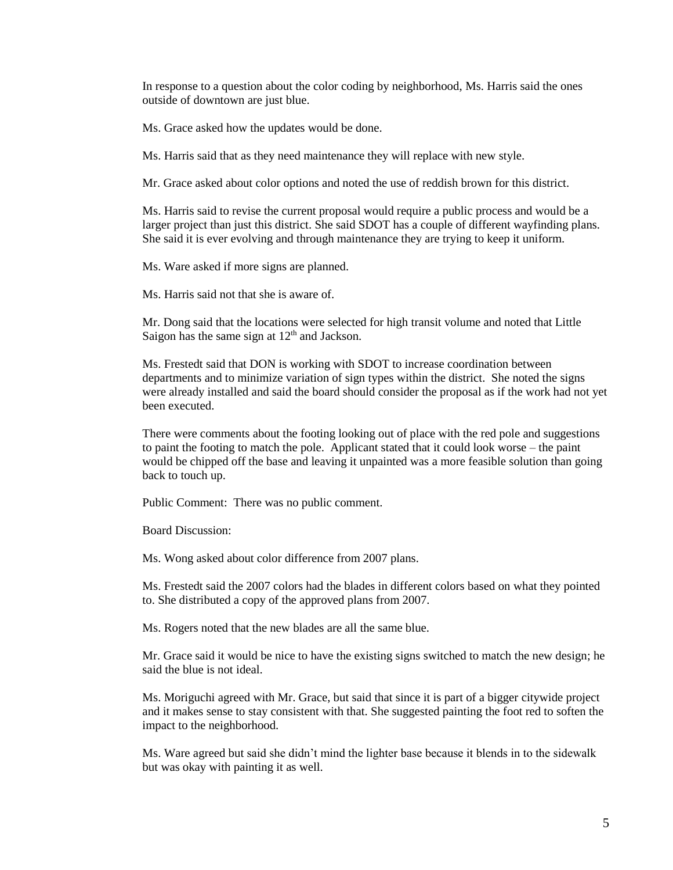In response to a question about the color coding by neighborhood, Ms. Harris said the ones outside of downtown are just blue.

Ms. Grace asked how the updates would be done.

Ms. Harris said that as they need maintenance they will replace with new style.

Mr. Grace asked about color options and noted the use of reddish brown for this district.

Ms. Harris said to revise the current proposal would require a public process and would be a larger project than just this district. She said SDOT has a couple of different wayfinding plans. She said it is ever evolving and through maintenance they are trying to keep it uniform.

Ms. Ware asked if more signs are planned.

Ms. Harris said not that she is aware of.

Mr. Dong said that the locations were selected for high transit volume and noted that Little Saigon has the same sign at  $12<sup>th</sup>$  and Jackson.

Ms. Frestedt said that DON is working with SDOT to increase coordination between departments and to minimize variation of sign types within the district. She noted the signs were already installed and said the board should consider the proposal as if the work had not yet been executed.

There were comments about the footing looking out of place with the red pole and suggestions to paint the footing to match the pole. Applicant stated that it could look worse – the paint would be chipped off the base and leaving it unpainted was a more feasible solution than going back to touch up.

Public Comment: There was no public comment.

Board Discussion:

Ms. Wong asked about color difference from 2007 plans.

Ms. Frestedt said the 2007 colors had the blades in different colors based on what they pointed to. She distributed a copy of the approved plans from 2007.

Ms. Rogers noted that the new blades are all the same blue.

Mr. Grace said it would be nice to have the existing signs switched to match the new design; he said the blue is not ideal.

Ms. Moriguchi agreed with Mr. Grace, but said that since it is part of a bigger citywide project and it makes sense to stay consistent with that. She suggested painting the foot red to soften the impact to the neighborhood.

Ms. Ware agreed but said she didn't mind the lighter base because it blends in to the sidewalk but was okay with painting it as well.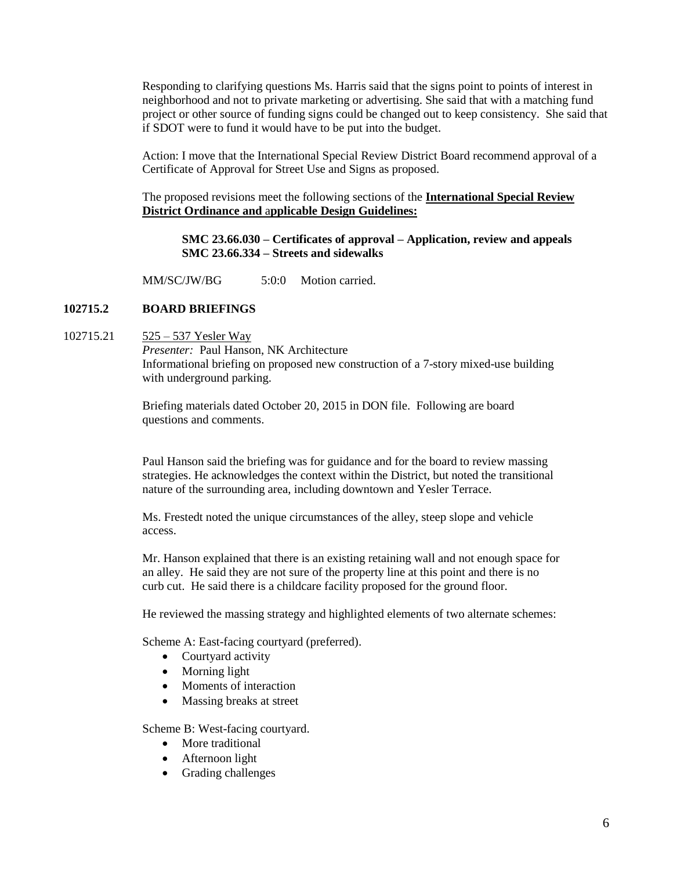Responding to clarifying questions Ms. Harris said that the signs point to points of interest in neighborhood and not to private marketing or advertising. She said that with a matching fund project or other source of funding signs could be changed out to keep consistency. She said that if SDOT were to fund it would have to be put into the budget.

Action: I move that the International Special Review District Board recommend approval of a Certificate of Approval for Street Use and Signs as proposed.

The proposed revisions meet the following sections of the **International Special Review District Ordinance and** a**pplicable Design Guidelines:**

**SMC 23.66.030 – Certificates of approval – Application, review and appeals SMC 23.66.334 – Streets and sidewalks**

MM/SC/JW/BG 5:0:0 Motion carried

## **102715.2 BOARD BRIEFINGS**

102715.21 525 – 537 Yesler Way

*Presenter:* Paul Hanson, NK Architecture Informational briefing on proposed new construction of a 7-story mixed-use building with underground parking.

Briefing materials dated October 20, 2015 in DON file. Following are board questions and comments.

Paul Hanson said the briefing was for guidance and for the board to review massing strategies. He acknowledges the context within the District, but noted the transitional nature of the surrounding area, including downtown and Yesler Terrace.

Ms. Frestedt noted the unique circumstances of the alley, steep slope and vehicle access.

Mr. Hanson explained that there is an existing retaining wall and not enough space for an alley. He said they are not sure of the property line at this point and there is no curb cut. He said there is a childcare facility proposed for the ground floor.

He reviewed the massing strategy and highlighted elements of two alternate schemes:

Scheme A: East-facing courtyard (preferred).

- Courtyard activity
- Morning light
- Moments of interaction
- Massing breaks at street

Scheme B: West-facing courtyard.

- More traditional
- Afternoon light
- Grading challenges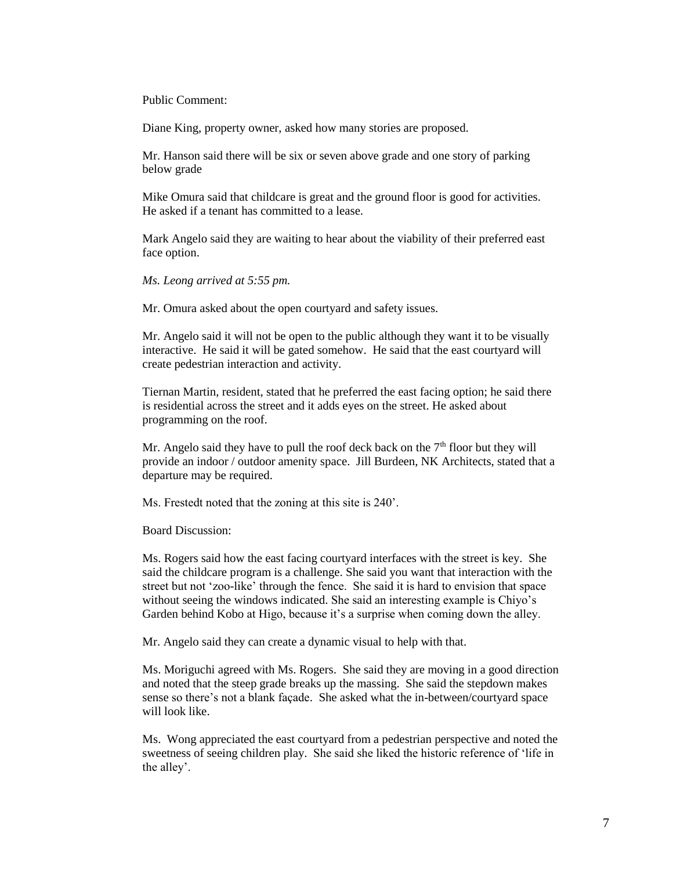Public Comment:

Diane King, property owner, asked how many stories are proposed.

Mr. Hanson said there will be six or seven above grade and one story of parking below grade

Mike Omura said that childcare is great and the ground floor is good for activities. He asked if a tenant has committed to a lease.

Mark Angelo said they are waiting to hear about the viability of their preferred east face option.

*Ms. Leong arrived at 5:55 pm.*

Mr. Omura asked about the open courtyard and safety issues.

Mr. Angelo said it will not be open to the public although they want it to be visually interactive. He said it will be gated somehow. He said that the east courtyard will create pedestrian interaction and activity.

Tiernan Martin, resident, stated that he preferred the east facing option; he said there is residential across the street and it adds eyes on the street. He asked about programming on the roof.

Mr. Angelo said they have to pull the roof deck back on the  $7<sup>th</sup>$  floor but they will provide an indoor / outdoor amenity space. Jill Burdeen, NK Architects, stated that a departure may be required.

Ms. Frestedt noted that the zoning at this site is 240'.

Board Discussion:

Ms. Rogers said how the east facing courtyard interfaces with the street is key. She said the childcare program is a challenge. She said you want that interaction with the street but not 'zoo-like' through the fence. She said it is hard to envision that space without seeing the windows indicated. She said an interesting example is Chiyo's Garden behind Kobo at Higo, because it's a surprise when coming down the alley.

Mr. Angelo said they can create a dynamic visual to help with that.

Ms. Moriguchi agreed with Ms. Rogers. She said they are moving in a good direction and noted that the steep grade breaks up the massing. She said the stepdown makes sense so there's not a blank façade. She asked what the in-between/courtyard space will look like.

Ms. Wong appreciated the east courtyard from a pedestrian perspective and noted the sweetness of seeing children play. She said she liked the historic reference of 'life in the alley'.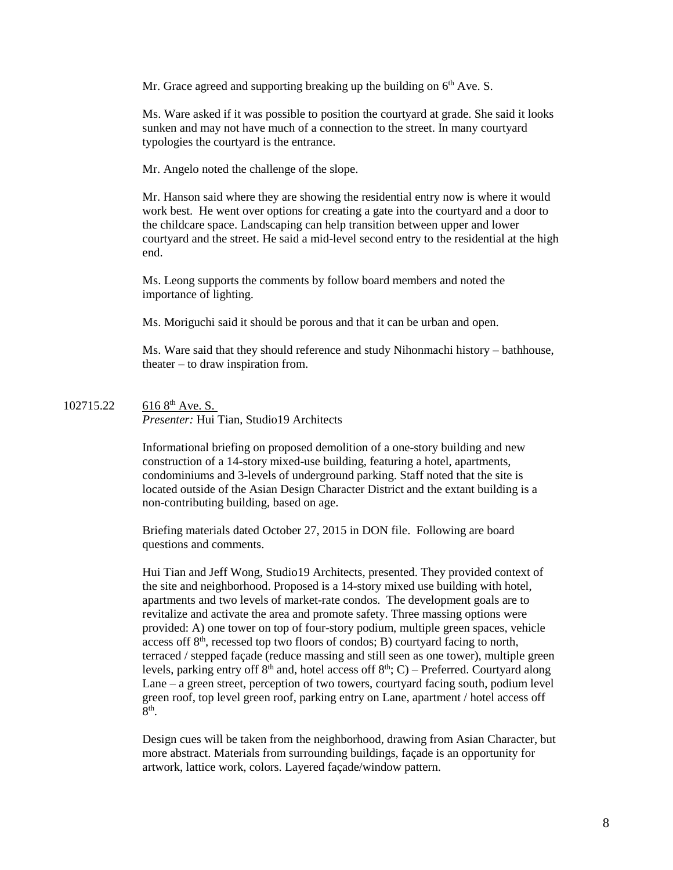Mr. Grace agreed and supporting breaking up the building on  $6<sup>th</sup>$  Ave. S.

Ms. Ware asked if it was possible to position the courtyard at grade. She said it looks sunken and may not have much of a connection to the street. In many courtyard typologies the courtyard is the entrance.

Mr. Angelo noted the challenge of the slope.

Mr. Hanson said where they are showing the residential entry now is where it would work best. He went over options for creating a gate into the courtyard and a door to the childcare space. Landscaping can help transition between upper and lower courtyard and the street. He said a mid-level second entry to the residential at the high end.

Ms. Leong supports the comments by follow board members and noted the importance of lighting.

Ms. Moriguchi said it should be porous and that it can be urban and open.

Ms. Ware said that they should reference and study Nihonmachi history – bathhouse, theater – to draw inspiration from.

102715.22 616 8<sup>th</sup> Ave. S. *Presenter:* Hui Tian, Studio19 Architects

> Informational briefing on proposed demolition of a one-story building and new construction of a 14-story mixed-use building, featuring a hotel, apartments, condominiums and 3-levels of underground parking. Staff noted that the site is located outside of the Asian Design Character District and the extant building is a non-contributing building, based on age.

Briefing materials dated October 27, 2015 in DON file. Following are board questions and comments.

Hui Tian and Jeff Wong, Studio19 Architects, presented. They provided context of the site and neighborhood. Proposed is a 14-story mixed use building with hotel, apartments and two levels of market-rate condos. The development goals are to revitalize and activate the area and promote safety. Three massing options were provided: A) one tower on top of four-story podium, multiple green spaces, vehicle access of  $8<sup>th</sup>$ , recessed top two floors of condos; B) courtyard facing to north, terraced / stepped façade (reduce massing and still seen as one tower), multiple green levels, parking entry off 8<sup>th</sup> and, hotel access off 8<sup>th</sup>; C) – Preferred. Courtyard along Lane – a green street, perception of two towers, courtyard facing south, podium level green roof, top level green roof, parking entry on Lane, apartment / hotel access off  $8^{\text{th}}$ .

Design cues will be taken from the neighborhood, drawing from Asian Character, but more abstract. Materials from surrounding buildings, façade is an opportunity for artwork, lattice work, colors. Layered façade/window pattern.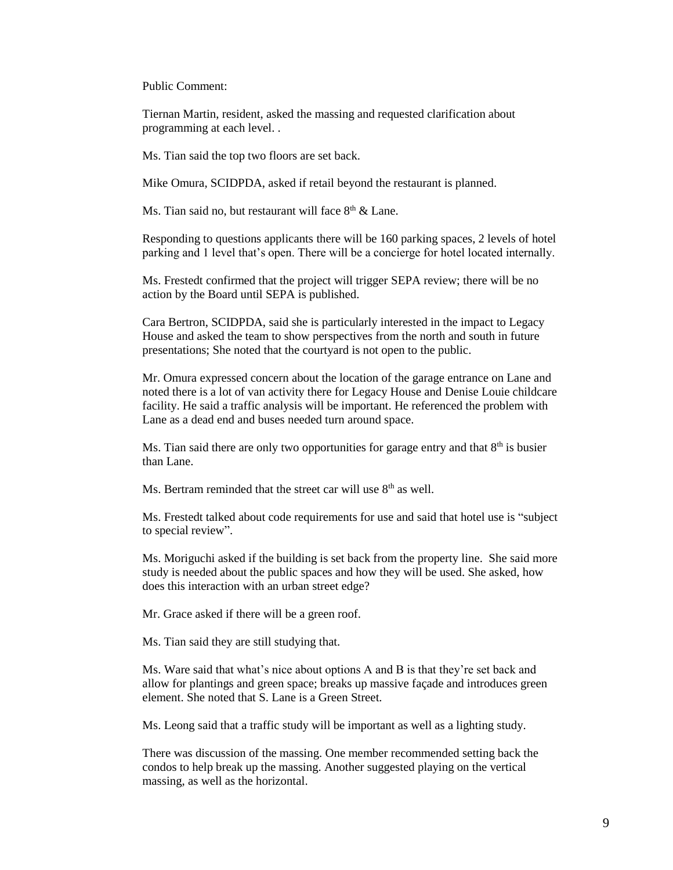Public Comment:

Tiernan Martin, resident, asked the massing and requested clarification about programming at each level. .

Ms. Tian said the top two floors are set back.

Mike Omura, SCIDPDA, asked if retail beyond the restaurant is planned.

Ms. Tian said no, but restaurant will face  $8<sup>th</sup>$  & Lane.

Responding to questions applicants there will be 160 parking spaces, 2 levels of hotel parking and 1 level that's open. There will be a concierge for hotel located internally.

Ms. Frestedt confirmed that the project will trigger SEPA review; there will be no action by the Board until SEPA is published.

Cara Bertron, SCIDPDA, said she is particularly interested in the impact to Legacy House and asked the team to show perspectives from the north and south in future presentations; She noted that the courtyard is not open to the public.

Mr. Omura expressed concern about the location of the garage entrance on Lane and noted there is a lot of van activity there for Legacy House and Denise Louie childcare facility. He said a traffic analysis will be important. He referenced the problem with Lane as a dead end and buses needed turn around space.

Ms. Tian said there are only two opportunities for garage entry and that  $8<sup>th</sup>$  is busier than Lane.

Ms. Bertram reminded that the street car will use  $8<sup>th</sup>$  as well.

Ms. Frestedt talked about code requirements for use and said that hotel use is "subject to special review".

Ms. Moriguchi asked if the building is set back from the property line. She said more study is needed about the public spaces and how they will be used. She asked, how does this interaction with an urban street edge?

Mr. Grace asked if there will be a green roof.

Ms. Tian said they are still studying that.

Ms. Ware said that what's nice about options A and B is that they're set back and allow for plantings and green space; breaks up massive façade and introduces green element. She noted that S. Lane is a Green Street.

Ms. Leong said that a traffic study will be important as well as a lighting study.

There was discussion of the massing. One member recommended setting back the condos to help break up the massing. Another suggested playing on the vertical massing, as well as the horizontal.